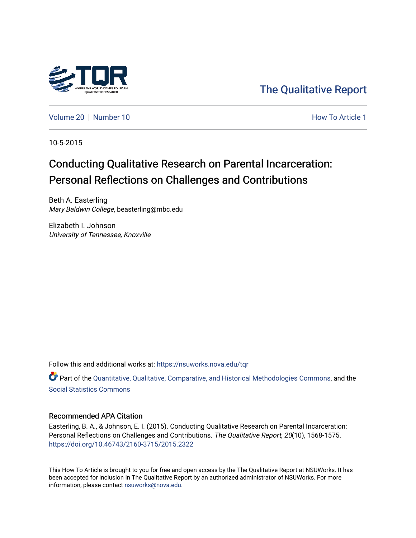

[The Qualitative Report](https://nsuworks.nova.edu/tqr) 

[Volume 20](https://nsuworks.nova.edu/tqr/vol20) [Number 10](https://nsuworks.nova.edu/tqr/vol20/iss10) **How To Article 1** How To Article 1

10-5-2015

## Conducting Qualitative Research on Parental Incarceration: Personal Reflections on Challenges and Contributions

Beth A. Easterling Mary Baldwin College, beasterling@mbc.edu

Elizabeth I. Johnson University of Tennessee, Knoxville

Follow this and additional works at: [https://nsuworks.nova.edu/tqr](https://nsuworks.nova.edu/tqr?utm_source=nsuworks.nova.edu%2Ftqr%2Fvol20%2Fiss10%2F1&utm_medium=PDF&utm_campaign=PDFCoverPages) 

Part of the [Quantitative, Qualitative, Comparative, and Historical Methodologies Commons,](http://network.bepress.com/hgg/discipline/423?utm_source=nsuworks.nova.edu%2Ftqr%2Fvol20%2Fiss10%2F1&utm_medium=PDF&utm_campaign=PDFCoverPages) and the [Social Statistics Commons](http://network.bepress.com/hgg/discipline/1275?utm_source=nsuworks.nova.edu%2Ftqr%2Fvol20%2Fiss10%2F1&utm_medium=PDF&utm_campaign=PDFCoverPages) 

#### Recommended APA Citation

Easterling, B. A., & Johnson, E. I. (2015). Conducting Qualitative Research on Parental Incarceration: Personal Reflections on Challenges and Contributions. The Qualitative Report, 20(10), 1568-1575. <https://doi.org/10.46743/2160-3715/2015.2322>

This How To Article is brought to you for free and open access by the The Qualitative Report at NSUWorks. It has been accepted for inclusion in The Qualitative Report by an authorized administrator of NSUWorks. For more information, please contact [nsuworks@nova.edu.](mailto:nsuworks@nova.edu)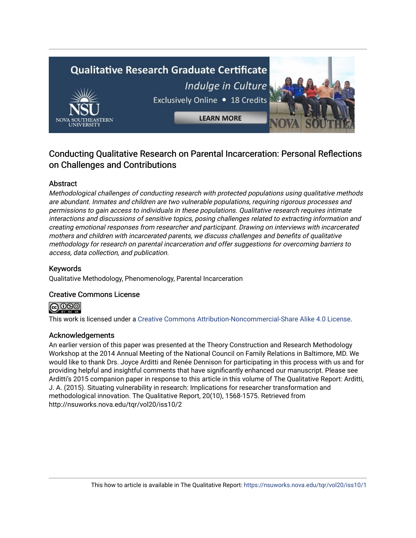# **Qualitative Research Graduate Certificate** Indulge in Culture Exclusively Online . 18 Credits **LEARN MORE**

## Conducting Qualitative Research on Parental Incarceration: Personal Reflections on Challenges and Contributions

## Abstract

Methodological challenges of conducting research with protected populations using qualitative methods are abundant. Inmates and children are two vulnerable populations, requiring rigorous processes and permissions to gain access to individuals in these populations. Qualitative research requires intimate interactions and discussions of sensitive topics, posing challenges related to extracting information and creating emotional responses from researcher and participant. Drawing on interviews with incarcerated mothers and children with incarcerated parents, we discuss challenges and benefits of qualitative methodology for research on parental incarceration and offer suggestions for overcoming barriers to access, data collection, and publication.

### Keywords

Qualitative Methodology, Phenomenology, Parental Incarceration

#### Creative Commons License



This work is licensed under a [Creative Commons Attribution-Noncommercial-Share Alike 4.0 License](https://creativecommons.org/licenses/by-nc-sa/4.0/).

#### Acknowledgements

An earlier version of this paper was presented at the Theory Construction and Research Methodology Workshop at the 2014 Annual Meeting of the National Council on Family Relations in Baltimore, MD. We would like to thank Drs. Joyce Arditti and Renée Dennison for participating in this process with us and for providing helpful and insightful comments that have significantly enhanced our manuscript. Please see Arditti's 2015 companion paper in response to this article in this volume of The Qualitative Report: Arditti, J. A. (2015). Situating vulnerability in research: Implications for researcher transformation and methodological innovation. The Qualitative Report, 20(10), 1568-1575. Retrieved from http://nsuworks.nova.edu/tqr/vol20/iss10/2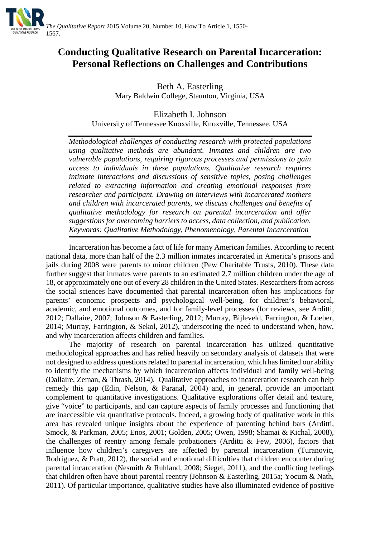

## **Conducting Qualitative Research on Parental Incarceration: Personal Reflections on Challenges and Contributions**

Beth A. Easterling Mary Baldwin College, Staunton, Virginia, USA

Elizabeth I. Johnson University of Tennessee Knoxville, Knoxville, Tennessee, USA

*Methodological challenges of conducting research with protected populations using qualitative methods are abundant. Inmates and children are two vulnerable populations, requiring rigorous processes and permissions to gain access to individuals in these populations. Qualitative research requires intimate interactions and discussions of sensitive topics, posing challenges related to extracting information and creating emotional responses from researcher and participant. Drawing on interviews with incarcerated mothers and children with incarcerated parents, we discuss challenges and benefits of qualitative methodology for research on parental incarceration and offer suggestions for overcoming barriers to access, data collection, and publication. Keywords: Qualitative Methodology, Phenomenology, Parental Incarceration*

Incarceration has become a fact of life for many American families. According to recent national data, more than half of the 2.3 million inmates incarcerated in America's prisons and jails during 2008 were parents to minor children (Pew Charitable Trusts, 2010). These data further suggest that inmates were parents to an estimated 2.7 million children under the age of 18, or approximately one out of every 28 children in the United States. Researchers from across the social sciences have documented that parental incarceration often has implications for parents' economic prospects and psychological well-being, for children's behavioral, academic, and emotional outcomes, and for family-level processes (for reviews, see Arditti, 2012; Dallaire, 2007; Johnson & Easterling, 2012; Murray, Bijleveld, Farrington, & Loeber, 2014; Murray, Farrington, & Sekol, 2012), underscoring the need to understand when, how, and why incarceration affects children and families.

The majority of research on parental incarceration has utilized quantitative methodological approaches and has relied heavily on secondary analysis of datasets that were not designed to address questions related to parental incarceration, which has limited our ability to identify the mechanisms by which incarceration affects individual and family well-being (Dallaire, Zeman, & Thrash, 2014). Qualitative approaches to incarceration research can help remedy this gap (Edin, Nelson, & Paranal, 2004) and, in general, provide an important complement to quantitative investigations. Qualitative explorations offer detail and texture, give "voice" to participants, and can capture aspects of family processes and functioning that are inaccessible via quantitative protocols. Indeed, a growing body of qualitative work in this area has revealed unique insights about the experience of parenting behind bars (Arditti, Smock, & Parkman, 2005; Enos, 2001; Golden, 2005; Owen, 1998; Shamai & Kichal, 2008), the challenges of reentry among female probationers (Arditti  $\&$  Few, 2006), factors that influence how children's caregivers are affected by parental incarceration (Turanovic, Rodriguez, & Pratt, 2012), the social and emotional difficulties that children encounter during parental incarceration (Nesmith & Ruhland, 2008; Siegel, 2011), and the conflicting feelings that children often have about parental reentry (Johnson & Easterling, 2015a; Yocum & Nath, 2011). Of particular importance, qualitative studies have also illuminated evidence of positive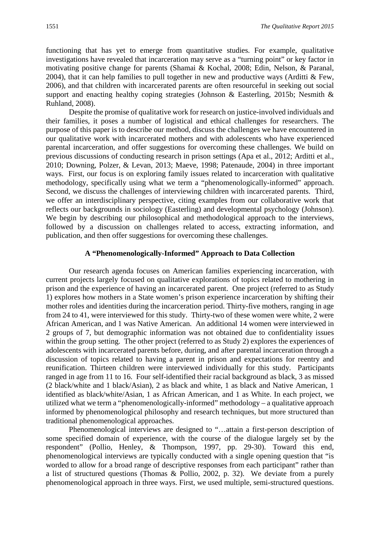functioning that has yet to emerge from quantitative studies. For example, qualitative investigations have revealed that incarceration may serve as a "turning point" or key factor in motivating positive change for parents (Shamai & Kochal, 2008; Edin, Nelson, & Paranal, 2004), that it can help families to pull together in new and productive ways (Arditti & Few, 2006), and that children with incarcerated parents are often resourceful in seeking out social support and enacting healthy coping strategies (Johnson & Easterling, 2015b; Nesmith & Ruhland, 2008).

Despite the promise of qualitative work for research on justice-involved individuals and their families, it poses a number of logistical and ethical challenges for researchers. The purpose of this paper is to describe our method, discuss the challenges we have encountered in our qualitative work with incarcerated mothers and with adolescents who have experienced parental incarceration, and offer suggestions for overcoming these challenges. We build on previous discussions of conducting research in prison settings (Apa et al., 2012; Arditti et al., 2010; Downing, Polzer, & Levan, 2013; Maeve, 1998; Patenaude, 2004) in three important ways. First, our focus is on exploring family issues related to incarceration with qualitative methodology, specifically using what we term a "phenomenologically-informed" approach. Second, we discuss the challenges of interviewing children with incarcerated parents. Third, we offer an interdisciplinary perspective, citing examples from our collaborative work that reflects our backgrounds in sociology (Easterling) and developmental psychology (Johnson). We begin by describing our philosophical and methodological approach to the interviews, followed by a discussion on challenges related to access, extracting information, and publication, and then offer suggestions for overcoming these challenges.

#### **A "Phenomenologically-Informed" Approach to Data Collection**

Our research agenda focuses on American families experiencing incarceration, with current projects largely focused on qualitative explorations of topics related to mothering in prison and the experience of having an incarcerated parent. One project (referred to as Study 1) explores how mothers in a State women's prison experience incarceration by shifting their mother roles and identities during the incarceration period. Thirty-five mothers, ranging in age from 24 to 41, were interviewed for this study. Thirty-two of these women were white, 2 were African American, and 1 was Native American. An additional 14 women were interviewed in 2 groups of 7, but demographic information was not obtained due to confidentiality issues within the group setting. The other project (referred to as Study 2) explores the experiences of adolescents with incarcerated parents before, during, and after parental incarceration through a discussion of topics related to having a parent in prison and expectations for reentry and reunification. Thirteen children were interviewed individually for this study. Participants ranged in age from 11 to 16. Four self-identified their racial background as black, 3 as missed (2 black/white and 1 black/Asian), 2 as black and white, 1 as black and Native American, 1 identified as black/white/Asian, 1 as African American, and 1 as White. In each project, we utilized what we term a "phenomenologically-informed" methodology – a qualitative approach informed by phenomenological philosophy and research techniques, but more structured than traditional phenomenological approaches.

Phenomenological interviews are designed to "…attain a first-person description of some specified domain of experience, with the course of the dialogue largely set by the respondent" (Pollio, Henley, & Thompson, 1997, pp. 29-30). Toward this end, phenomenological interviews are typically conducted with a single opening question that "is worded to allow for a broad range of descriptive responses from each participant" rather than a list of structured questions (Thomas & Pollio, 2002, p. 32). We deviate from a purely phenomenological approach in three ways. First, we used multiple, semi-structured questions.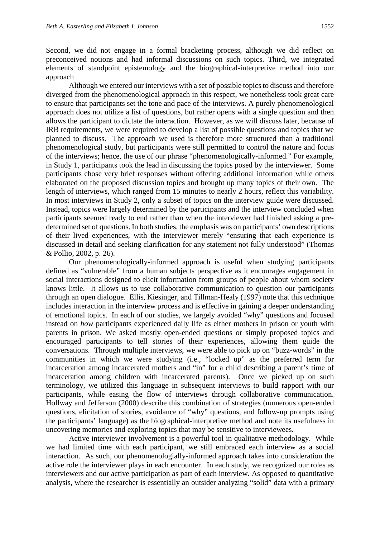Second, we did not engage in a formal bracketing process, although we did reflect on preconceived notions and had informal discussions on such topics. Third, we integrated elements of standpoint epistemology and the biographical-interpretive method into our approach

Although we entered our interviews with a set of possible topics to discuss and therefore diverged from the phenomenological approach in this respect, we nonetheless took great care to ensure that participants set the tone and pace of the interviews. A purely phenomenological approach does not utilize a list of questions, but rather opens with a single question and then allows the participant to dictate the interaction. However, as we will discuss later, because of IRB requirements, we were required to develop a list of possible questions and topics that we planned to discuss. The approach we used is therefore more structured than a traditional phenomenological study, but participants were still permitted to control the nature and focus of the interviews; hence, the use of our phrase "phenomenologically-informed." For example, in Study 1, participants took the lead in discussing the topics posed by the interviewer. Some participants chose very brief responses without offering additional information while others elaborated on the proposed discussion topics and brought up many topics of their own. The length of interviews, which ranged from 15 minutes to nearly 2 hours, reflect this variability. In most interviews in Study 2, only a subset of topics on the interview guide were discussed. Instead, topics were largely determined by the participants and the interview concluded when participants seemed ready to end rather than when the interviewer had finished asking a predetermined set of questions. In both studies, the emphasis was on participants' own descriptions of their lived experiences, with the interviewer merely "ensuring that each experience is discussed in detail and seeking clarification for any statement not fully understood" (Thomas & Pollio, 2002, p. 26).

Our phenomenologically-informed approach is useful when studying participants defined as "vulnerable" from a human subjects perspective as it encourages engagement in social interactions designed to elicit information from groups of people about whom society knows little. It allows us to use collaborative communication to question our participants through an open dialogue. Ellis, Kiesinger, and Tillman-Healy (1997) note that this technique includes interaction in the interview process and is effective in gaining a deeper understanding of emotional topics. In each of our studies, we largely avoided "why" questions and focused instead on *how* participants experienced daily life as either mothers in prison or youth with parents in prison. We asked mostly open-ended questions or simply proposed topics and encouraged participants to tell stories of their experiences, allowing them guide the conversations. Through multiple interviews, we were able to pick up on "buzz-words" in the communities in which we were studying (i.e., "locked up" as the preferred term for incarceration among incarcerated mothers and "in" for a child describing a parent's time of incarceration among children with incarcerated parents). Once we picked up on such terminology, we utilized this language in subsequent interviews to build rapport with our participants, while easing the flow of interviews through collaborative communication. Hollway and Jefferson (2000) describe this combination of strategies (numerous open-ended questions, elicitation of stories, avoidance of "why" questions, and follow-up prompts using the participants' language) as the biographical-interpretive method and note its usefulness in uncovering memories and exploring topics that may be sensitive to interviewees.

Active interviewer involvement is a powerful tool in qualitative methodology. While we had limited time with each participant, we still embraced each interview as a social interaction. As such, our phenomenologially-informed approach takes into consideration the active role the interviewer plays in each encounter. In each study, we recognized our roles as interviewers and our active participation as part of each interview. As opposed to quantitative analysis, where the researcher is essentially an outsider analyzing "solid" data with a primary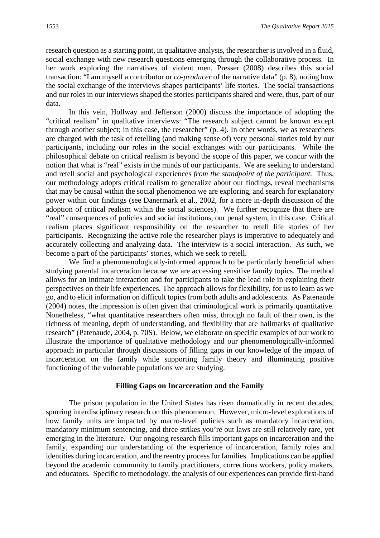research question as a starting point, in qualitative analysis, the researcher is involved in a fluid, social exchange with new research questions emerging through the collaborative process. In her work exploring the narratives of violent men, Presser (2008) describes this social transaction: "I am myself a contributor or *co-producer* of the narrative data" (p. 8), noting how the social exchange of the interviews shapes participants' life stories. The social transactions and our roles in our interviews shaped the stories participants shared and were, thus, part of our data.

In this vein, Hollway and Jefferson (2000) discuss the importance of adopting the "critical realism" in qualitative interviews: "The research subject cannot be known except through another subject; in this case, the researcher" (p. 4). In other words, we as researchers are charged with the task of retelling (and making sense of) very personal stories told by our participants, including our roles in the social exchanges with our participants. While the philosophical debate on critical realism is beyond the scope of this paper, we concur with the notion that what is "real" exists in the minds of our participants. We are seeking to understand and retell social and psychological experiences *from the standpoint of the participant.* Thus, our methodology adopts critical realism to generalize about our findings, reveal mechanisms that may be causal within the social phenomenon we are exploring, and search for explanatory power within our findings (see Danermark et al., 2002, for a more in-depth discussion of the adoption of critical realism within the social sciences). We further recognize that there are "real" consequences of policies and social institutions, our penal system, in this case. Critical realism places significant responsibility on the researcher to retell life stories of her participants. Recognizing the active role the researcher plays is imperative to adequately and accurately collecting and analyzing data. The interview is a social interaction. As such, we become a part of the participants' stories, which we seek to retell.

We find a phenomenologically-informed approach to be particularly beneficial when studying parental incarceration because we are accessing sensitive family topics. The method allows for an intimate interaction and for participants to take the lead role in explaining their perspectives on their life experiences. The approach allows for flexibility, for us to learn as we go, and to elicit information on difficult topics from both adults and adolescents. As Patenaude (2004) notes, the impression is often given that criminological work is primarily quantitative. Nonetheless, "what quantitative researchers often miss, through no fault of their own, is the richness of meaning, depth of understanding, and flexibility that are hallmarks of qualitative research" (Patenaude, 2004, p. 70S). Below, we elaborate on specific examples of our work to illustrate the importance of qualitative methodology and our phenomenologically-informed approach in particular through discussions of filling gaps in our knowledge of the impact of incarceration on the family while supporting family theory and illuminating positive functioning of the vulnerable populations we are studying.

#### **Filling Gaps on Incarceration and the Family**

The prison population in the United States has risen dramatically in recent decades, spurring interdisciplinary research on this phenomenon. However, micro-level explorations of how family units are impacted by macro-level policies such as mandatory incarceration, mandatory minimum sentencing, and three strikes you're out laws are still relatively rare, yet emerging in the literature. Our ongoing research fills important gaps on incarceration and the family, expanding our understanding of the experience of incarceration, family roles and identities during incarceration, and the reentry process for families. Implications can be applied beyond the academic community to family practitioners, corrections workers, policy makers, and educators. Specific to methodology, the analysis of our experiences can provide first-hand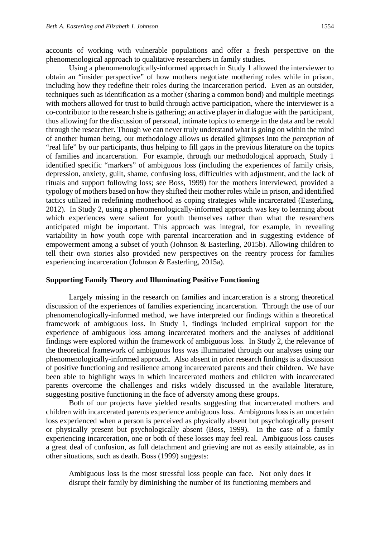accounts of working with vulnerable populations and offer a fresh perspective on the phenomenological approach to qualitative researchers in family studies.

Using a phenomenologically-informed approach in Study 1 allowed the interviewer to obtain an "insider perspective" of how mothers negotiate mothering roles while in prison, including how they redefine their roles during the incarceration period. Even as an outsider, techniques such as identification as a mother (sharing a common bond) and multiple meetings with mothers allowed for trust to build through active participation, where the interviewer is a co-contributor to the research she is gathering; an active player in dialogue with the participant, thus allowing for the discussion of personal, intimate topics to emerge in the data and be retold through the researcher. Though we can never truly understand what is going on within the mind of another human being, our methodology allows us detailed glimpses into the *perception* of "real life" by our participants, thus helping to fill gaps in the previous literature on the topics of families and incarceration. For example, through our methodological approach, Study 1 identified specific "markers" of ambiguous loss (including the experiences of family crisis, depression, anxiety, guilt, shame, confusing loss, difficulties with adjustment, and the lack of rituals and support following loss; see Boss, 1999) for the mothers interviewed, provided a typology of mothers based on how they shifted their mother roles while in prison, and identified tactics utilized in redefining motherhood as coping strategies while incarcerated (Easterling, 2012). In Study 2, using a phenomenologically-informed approach was key to learning about which experiences were salient for youth themselves rather than what the researchers anticipated might be important. This approach was integral, for example, in revealing variability in how youth cope with parental incarceration and in suggesting evidence of empowerment among a subset of youth (Johnson & Easterling, 2015b). Allowing children to tell their own stories also provided new perspectives on the reentry process for families experiencing incarceration (Johnson & Easterling, 2015a).

#### **Supporting Family Theory and Illuminating Positive Functioning**

Largely missing in the research on families and incarceration is a strong theoretical discussion of the experiences of families experiencing incarceration. Through the use of our phenomenologically-informed method, we have interpreted our findings within a theoretical framework of ambiguous loss. In Study 1, findings included empirical support for the experience of ambiguous loss among incarcerated mothers and the analyses of additional findings were explored within the framework of ambiguous loss. In Study 2, the relevance of the theoretical framework of ambiguous loss was illuminated through our analyses using our phenomenologically-informed approach. Also absent in prior research findings is a discussion of positive functioning and resilience among incarcerated parents and their children. We have been able to highlight ways in which incarcerated mothers and children with incarcerated parents overcome the challenges and risks widely discussed in the available literature, suggesting positive functioning in the face of adversity among these groups.

Both of our projects have yielded results suggesting that incarcerated mothers and children with incarcerated parents experience ambiguous loss. Ambiguous loss is an uncertain loss experienced when a person is perceived as physically absent but psychologically present or physically present but psychologically absent (Boss, 1999). In the case of a family experiencing incarceration, one or both of these losses may feel real. Ambiguous loss causes a great deal of confusion, as full detachment and grieving are not as easily attainable, as in other situations, such as death. Boss (1999) suggests:

Ambiguous loss is the most stressful loss people can face. Not only does it disrupt their family by diminishing the number of its functioning members and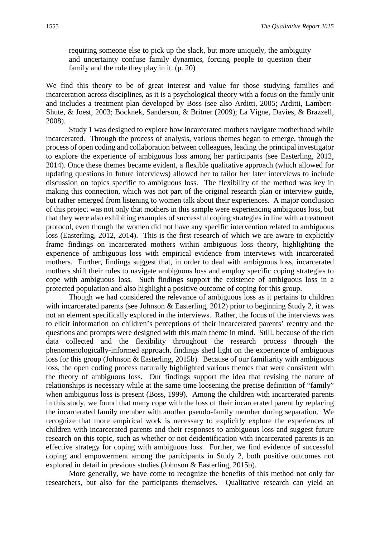requiring someone else to pick up the slack, but more uniquely, the ambiguity and uncertainty confuse family dynamics, forcing people to question their family and the role they play in it. (p. 20)

We find this theory to be of great interest and value for those studying families and incarceration across disciplines, as it is a psychological theory with a focus on the family unit and includes a treatment plan developed by Boss (see also Arditti, 2005; Arditti, Lambert-Shute, & Joest, 2003; Bocknek, Sanderson, & Britner (2009); La Vigne, Davies, & Brazzell, 2008).

Study 1 was designed to explore how incarcerated mothers navigate motherhood while incarcerated. Through the process of analysis, various themes began to emerge, through the process of open coding and collaboration between colleagues, leading the principal investigator to explore the experience of ambiguous loss among her participants (see Easterling, 2012, 2014). Once these themes became evident, a flexible qualitative approach (which allowed for updating questions in future interviews) allowed her to tailor her later interviews to include discussion on topics specific to ambiguous loss. The flexibility of the method was key in making this connection, which was not part of the original research plan or interview guide, but rather emerged from listening to women talk about their experiences. A major conclusion of this project was not only that mothers in this sample were experiencing ambiguous loss, but that they were also exhibiting examples of successful coping strategies in line with a treatment protocol, even though the women did not have any specific intervention related to ambiguous loss (Easterling, 2012, 2014). This is the first research of which we are aware to explicitly frame findings on incarcerated mothers within ambiguous loss theory, highlighting the experience of ambiguous loss with empirical evidence from interviews with incarcerated mothers. Further, findings suggest that, in order to deal with ambiguous loss, incarcerated mothers shift their roles to navigate ambiguous loss and employ specific coping strategies to cope with ambiguous loss. Such findings support the existence of ambiguous loss in a protected population and also highlight a positive outcome of coping for this group.

Though we had considered the relevance of ambiguous loss as it pertains to children with incarcerated parents (see Johnson & Easterling, 2012) prior to beginning Study 2, it was not an element specifically explored in the interviews. Rather, the focus of the interviews was to elicit information on children's perceptions of their incarcerated parents' reentry and the questions and prompts were designed with this main theme in mind. Still, because of the rich data collected and the flexibility throughout the research process through the phenomenologically-informed approach, findings shed light on the experience of ambiguous loss for this group (Johnson & Easterling, 2015b). Because of our familiarity with ambiguous loss, the open coding process naturally highlighted various themes that were consistent with the theory of ambiguous loss. Our findings support the idea that revising the nature of relationships is necessary while at the same time loosening the precise definition of "family" when ambiguous loss is present (Boss, 1999). Among the children with incarcerated parents in this study, we found that many cope with the loss of their incarcerated parent by replacing the incarcerated family member with another pseudo-family member during separation. We recognize that more empirical work is necessary to explicitly explore the experiences of children with incarcerated parents and their responses to ambiguous loss and suggest future research on this topic, such as whether or not deidentification with incarcerated parents is an effective strategy for coping with ambiguous loss. Further, we find evidence of successful coping and empowerment among the participants in Study 2, both positive outcomes not explored in detail in previous studies (Johnson & Easterling, 2015b).

More generally, we have come to recognize the benefits of this method not only for researchers, but also for the participants themselves. Qualitative research can yield an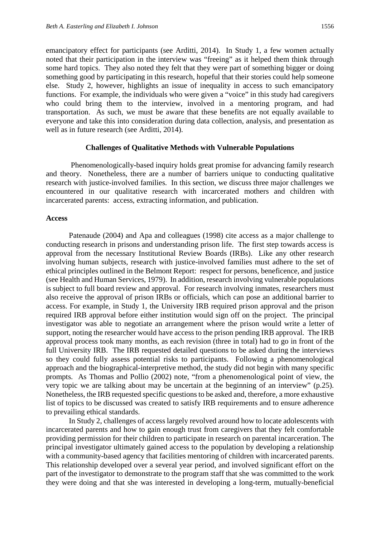emancipatory effect for participants (see Arditti, 2014). In Study 1, a few women actually noted that their participation in the interview was "freeing" as it helped them think through some hard topics. They also noted they felt that they were part of something bigger or doing something good by participating in this research, hopeful that their stories could help someone else. Study 2, however, highlights an issue of inequality in access to such emancipatory functions. For example, the individuals who were given a "voice" in this study had caregivers who could bring them to the interview, involved in a mentoring program, and had transportation. As such, we must be aware that these benefits are not equally available to everyone and take this into consideration during data collection, analysis, and presentation as well as in future research (see Arditti, 2014).

#### **Challenges of Qualitative Methods with Vulnerable Populations**

Phenomenologically-based inquiry holds great promise for advancing family research and theory. Nonetheless, there are a number of barriers unique to conducting qualitative research with justice-involved families. In this section, we discuss three major challenges we encountered in our qualitative research with incarcerated mothers and children with incarcerated parents: access, extracting information, and publication.

#### **Access**

Patenaude (2004) and Apa and colleagues (1998) cite access as a major challenge to conducting research in prisons and understanding prison life. The first step towards access is approval from the necessary Institutional Review Boards (IRBs). Like any other research involving human subjects, research with justice-involved families must adhere to the set of ethical principles outlined in the Belmont Report: respect for persons, beneficence, and justice (see Health and Human Services, 1979). In addition, research involving vulnerable populations is subject to full board review and approval. For research involving inmates, researchers must also receive the approval of prison IRBs or officials, which can pose an additional barrier to access. For example, in Study 1, the University IRB required prison approval and the prison required IRB approval before either institution would sign off on the project. The principal investigator was able to negotiate an arrangement where the prison would write a letter of support, noting the researcher would have access to the prison pending IRB approval. The IRB approval process took many months, as each revision (three in total) had to go in front of the full University IRB. The IRB requested detailed questions to be asked during the interviews so they could fully assess potential risks to participants. Following a phenomenological approach and the biographical-interpretive method, the study did not begin with many specific prompts. As Thomas and Pollio (2002) note, "from a phenomenological point of view, the very topic we are talking about may be uncertain at the beginning of an interview" (p.25). Nonetheless, the IRB requested specific questions to be asked and, therefore, a more exhaustive list of topics to be discussed was created to satisfy IRB requirements and to ensure adherence to prevailing ethical standards.

In Study 2, challenges of access largely revolved around how to locate adolescents with incarcerated parents and how to gain enough trust from caregivers that they felt comfortable providing permission for their children to participate in research on parental incarceration. The principal investigator ultimately gained access to the population by developing a relationship with a community-based agency that facilities mentoring of children with incarcerated parents. This relationship developed over a several year period, and involved significant effort on the part of the investigator to demonstrate to the program staff that she was committed to the work they were doing and that she was interested in developing a long-term, mutually-beneficial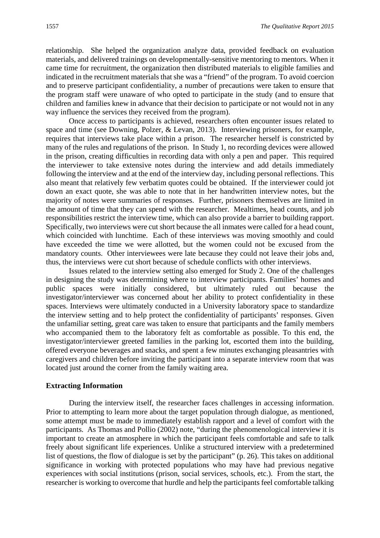relationship. She helped the organization analyze data, provided feedback on evaluation materials, and delivered trainings on developmentally-sensitive mentoring to mentors. When it came time for recruitment, the organization then distributed materials to eligible families and indicated in the recruitment materials that she was a "friend" of the program. To avoid coercion and to preserve participant confidentiality, a number of precautions were taken to ensure that the program staff were unaware of who opted to participate in the study (and to ensure that children and families knew in advance that their decision to participate or not would not in any way influence the services they received from the program).

Once access to participants is achieved, researchers often encounter issues related to space and time (see Downing, Polzer, & Levan, 2013). Interviewing prisoners, for example, requires that interviews take place within a prison. The researcher herself is constricted by many of the rules and regulations of the prison. In Study 1, no recording devices were allowed in the prison, creating difficulties in recording data with only a pen and paper. This required the interviewer to take extensive notes during the interview and add details immediately following the interview and at the end of the interview day, including personal reflections. This also meant that relatively few verbatim quotes could be obtained. If the interviewer could jot down an exact quote, she was able to note that in her handwritten interview notes, but the majority of notes were summaries of responses. Further, prisoners themselves are limited in the amount of time that they can spend with the researcher. Mealtimes, head counts, and job responsibilities restrict the interview time, which can also provide a barrier to building rapport. Specifically, two interviews were cut short because the all inmates were called for a head count, which coincided with lunchtime. Each of these interviews was moving smoothly and could have exceeded the time we were allotted, but the women could not be excused from the mandatory counts. Other interviewees were late because they could not leave their jobs and, thus, the interviews were cut short because of schedule conflicts with other interviews.

Issues related to the interview setting also emerged for Study 2. One of the challenges in designing the study was determining where to interview participants. Families' homes and public spaces were initially considered, but ultimately ruled out because the investigator/interviewer was concerned about her ability to protect confidentiality in these spaces. Interviews were ultimately conducted in a University laboratory space to standardize the interview setting and to help protect the confidentiality of participants' responses. Given the unfamiliar setting, great care was taken to ensure that participants and the family members who accompanied them to the laboratory felt as comfortable as possible. To this end, the investigator/interviewer greeted families in the parking lot, escorted them into the building, offered everyone beverages and snacks, and spent a few minutes exchanging pleasantries with caregivers and children before inviting the participant into a separate interview room that was located just around the corner from the family waiting area.

#### **Extracting Information**

During the interview itself, the researcher faces challenges in accessing information. Prior to attempting to learn more about the target population through dialogue, as mentioned, some attempt must be made to immediately establish rapport and a level of comfort with the participants. As Thomas and Pollio (2002) note, "during the phenomenological interview it is important to create an atmosphere in which the participant feels comfortable and safe to talk freely about significant life experiences. Unlike a structured interview with a predetermined list of questions, the flow of dialogue is set by the participant" (p. 26). This takes on additional significance in working with protected populations who may have had previous negative experiences with social institutions (prison, social services, schools, etc.). From the start, the researcher is working to overcome that hurdle and help the participants feel comfortable talking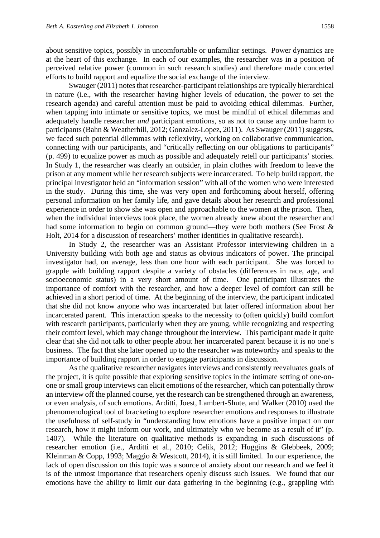about sensitive topics, possibly in uncomfortable or unfamiliar settings. Power dynamics are at the heart of this exchange. In each of our examples, the researcher was in a position of perceived relative power (common in such research studies) and therefore made concerted efforts to build rapport and equalize the social exchange of the interview.

Swauger (2011) notes that researcher-participant relationships are typically hierarchical in nature (i.e., with the researcher having higher levels of education, the power to set the research agenda) and careful attention must be paid to avoiding ethical dilemmas. Further, when tapping into intimate or sensitive topics, we must be mindful of ethical dilemmas and adequately handle researcher *and* participant emotions, so as not to cause any undue harm to participants (Bahn & Weatherhill, 2012; Gonzalez-Lopez, 2011). As Swauger (2011) suggests, we faced such potential dilemmas with reflexivity, working on collaborative communication, connecting with our participants, and "critically reflecting on our obligations to participants" (p. 499) to equalize power as much as possible and adequately retell our participants' stories. In Study 1, the researcher was clearly an outsider, in plain clothes with freedom to leave the prison at any moment while her research subjects were incarcerated. To help build rapport, the principal investigator held an "information session" with all of the women who were interested in the study. During this time, she was very open and forthcoming about herself, offering personal information on her family life, and gave details about her research and professional experience in order to show she was open and approachable to the women at the prison. Then, when the individual interviews took place, the women already knew about the researcher and had some information to begin on common ground—they were both mothers (See Frost & Holt, 2014 for a discussion of researchers' mother identities in qualitative research).

In Study 2, the researcher was an Assistant Professor interviewing children in a University building with both age and status as obvious indicators of power. The principal investigator had, on average, less than one hour with each participant. She was forced to grapple with building rapport despite a variety of obstacles (differences in race, age, and socioeconomic status) in a very short amount of time. One participant illustrates the importance of comfort with the researcher, and how a deeper level of comfort can still be achieved in a short period of time. At the beginning of the interview, the participant indicated that she did not know anyone who was incarcerated but later offered information about her incarcerated parent. This interaction speaks to the necessity to (often quickly) build comfort with research participants, particularly when they are young, while recognizing and respecting their comfort level, which may change throughout the interview. This participant made it quite clear that she did not talk to other people about her incarcerated parent because it is no one's business. The fact that she later opened up to the researcher was noteworthy and speaks to the importance of building rapport in order to engage participants in discussion.

As the qualitative researcher navigates interviews and consistently reevaluates goals of the project, it is quite possible that exploring sensitive topics in the intimate setting of one-onone or small group interviews can elicit emotions of the researcher, which can potentially throw an interview off the planned course, yet the research can be strengthened through an awareness, or even analysis, of such emotions. Arditti, Joest, Lambert-Shute, and Walker (2010) used the phenomenological tool of bracketing to explore researcher emotions and responses to illustrate the usefulness of self-study in "understanding how emotions have a positive impact on our research, how it might inform our work, and ultimately who we become as a result of it" (p. 1407). While the literature on qualitative methods is expanding in such discussions of researcher emotion (i.e., Arditti et al., 2010; Celik, 2012; Huggins & Glebbeek, 2009; Kleinman & Copp, 1993; Maggio & Westcott, 2014), it is still limited. In our experience, the lack of open discussion on this topic was a source of anxiety about our research and we feel it is of the utmost importance that researchers openly discuss such issues. We found that our emotions have the ability to limit our data gathering in the beginning (e.g., grappling with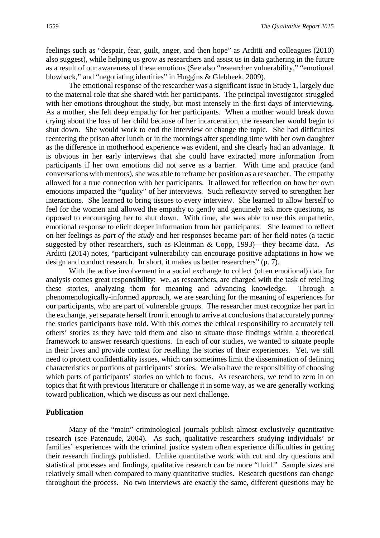feelings such as "despair, fear, guilt, anger, and then hope" as Arditti and colleagues (2010) also suggest), while helping us grow as researchers and assist us in data gathering in the future as a result of our awareness of these emotions (See also "researcher vulnerability," "emotional blowback," and "negotiating identities" in Huggins & Glebbeek, 2009).

The emotional response of the researcher was a significant issue in Study 1, largely due to the maternal role that she shared with her participants. The principal investigator struggled with her emotions throughout the study, but most intensely in the first days of interviewing. As a mother, she felt deep empathy for her participants. When a mother would break down crying about the loss of her child because of her incarceration, the researcher would begin to shut down. She would work to end the interview or change the topic. She had difficulties reentering the prison after lunch or in the mornings after spending time with her own daughter as the difference in motherhood experience was evident, and she clearly had an advantage. It is obvious in her early interviews that she could have extracted more information from participants if her own emotions did not serve as a barrier. With time and practice (and conversations with mentors), she was able to reframe her position as a researcher. The empathy allowed for a true connection with her participants. It allowed for reflection on how her own emotions impacted the "quality" of her interviews. Such reflexivity served to strengthen her interactions. She learned to bring tissues to every interview. She learned to allow herself to feel for the women and allowed the empathy to gently and genuinely ask more questions, as opposed to encouraging her to shut down. With time, she was able to use this empathetic, emotional response to elicit deeper information from her participants. She learned to reflect on her feelings as *part of the study* and her responses became part of her field notes (a tactic suggested by other researchers, such as Kleinman  $\&$  Copp, 1993)—they became data. As Arditti (2014) notes, "participant vulnerability can encourage positive adaptations in how we design and conduct research. In short, it makes us better researchers" (p. 7).

With the active involvement in a social exchange to collect (often emotional) data for analysis comes great responsibility: we, as researchers, are charged with the task of retelling these stories, analyzing them for meaning and advancing knowledge. Through a phenomenologically-informed approach, we are searching for the meaning of experiences for our participants, who are part of vulnerable groups. The researcher must recognize her part in the exchange, yet separate herself from it enough to arrive at conclusions that accurately portray the stories participants have told. With this comes the ethical responsibility to accurately tell others' stories as they have told them and also to situate those findings within a theoretical framework to answer research questions. In each of our studies, we wanted to situate people in their lives and provide context for retelling the stories of their experiences. Yet, we still need to protect confidentiality issues, which can sometimes limit the dissemination of defining characteristics or portions of participants' stories. We also have the responsibility of choosing which parts of participants' stories on which to focus. As researchers, we tend to zero in on topics that fit with previous literature or challenge it in some way, as we are generally working toward publication, which we discuss as our next challenge.

#### **Publication**

Many of the "main" criminological journals publish almost exclusively quantitative research (see Patenaude, 2004). As such, qualitative researchers studying individuals' or families' experiences with the criminal justice system often experience difficulties in getting their research findings published. Unlike quantitative work with cut and dry questions and statistical processes and findings, qualitative research can be more "fluid." Sample sizes are relatively small when compared to many quantitative studies. Research questions can change throughout the process. No two interviews are exactly the same, different questions may be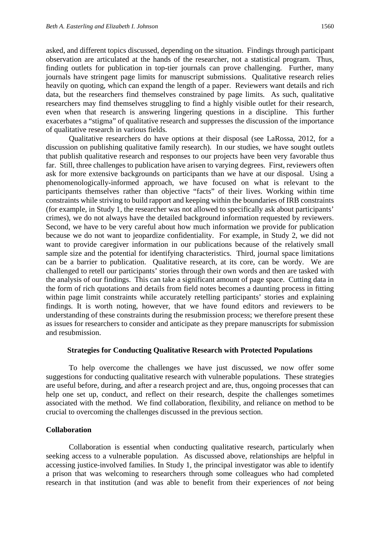asked, and different topics discussed, depending on the situation. Findings through participant observation are articulated at the hands of the researcher, not a statistical program. Thus, finding outlets for publication in top-tier journals can prove challenging. Further, many journals have stringent page limits for manuscript submissions. Qualitative research relies heavily on quoting, which can expand the length of a paper. Reviewers want details and rich data, but the researchers find themselves constrained by page limits. As such, qualitative researchers may find themselves struggling to find a highly visible outlet for their research, even when that research is answering lingering questions in a discipline. This further exacerbates a "stigma" of qualitative research and suppresses the discussion of the importance of qualitative research in various fields.

Qualitative researchers do have options at their disposal (see LaRossa, 2012, for a discussion on publishing qualitative family research). In our studies, we have sought outlets that publish qualitative research and responses to our projects have been very favorable thus far. Still, three challenges to publication have arisen to varying degrees. First, reviewers often ask for more extensive backgrounds on participants than we have at our disposal. Using a phenomenologically-informed approach, we have focused on what is relevant to the participants themselves rather than objective "facts" of their lives. Working within time constraints while striving to build rapport and keeping within the boundaries of IRB constraints (for example, in Study 1, the researcher was not allowed to specifically ask about participants' crimes), we do not always have the detailed background information requested by reviewers. Second, we have to be very careful about how much information we provide for publication because we do not want to jeopardize confidentiality. For example, in Study 2, we did not want to provide caregiver information in our publications because of the relatively small sample size and the potential for identifying characteristics. Third, journal space limitations can be a barrier to publication. Qualitative research, at its core, can be wordy. We are challenged to retell our participants' stories through their own words and then are tasked with the analysis of our findings. This can take a significant amount of page space. Cutting data in the form of rich quotations and details from field notes becomes a daunting process in fitting within page limit constraints while accurately retelling participants' stories and explaining findings. It is worth noting, however, that we have found editors and reviewers to be understanding of these constraints during the resubmission process; we therefore present these as issues for researchers to consider and anticipate as they prepare manuscripts for submission and resubmission.

#### **Strategies for Conducting Qualitative Research with Protected Populations**

To help overcome the challenges we have just discussed, we now offer some suggestions for conducting qualitative research with vulnerable populations. These strategies are useful before, during, and after a research project and are, thus, ongoing processes that can help one set up, conduct, and reflect on their research, despite the challenges sometimes associated with the method. We find collaboration, flexibility, and reliance on method to be crucial to overcoming the challenges discussed in the previous section.

#### **Collaboration**

Collaboration is essential when conducting qualitative research, particularly when seeking access to a vulnerable population. As discussed above, relationships are helpful in accessing justice-involved families. In Study 1, the principal investigator was able to identify a prison that was welcoming to researchers through some colleagues who had completed research in that institution (and was able to benefit from their experiences of *not* being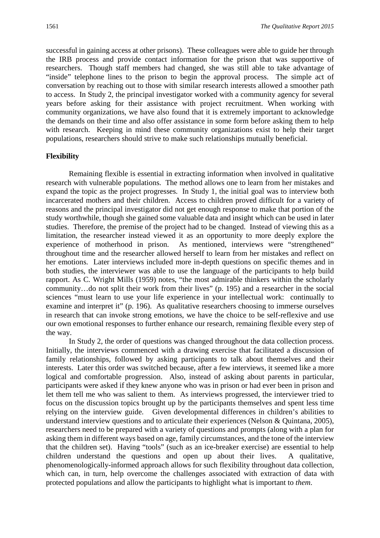successful in gaining access at other prisons). These colleagues were able to guide her through the IRB process and provide contact information for the prison that was supportive of researchers. Though staff members had changed, she was still able to take advantage of "inside" telephone lines to the prison to begin the approval process. The simple act of conversation by reaching out to those with similar research interests allowed a smoother path to access. In Study 2, the principal investigator worked with a community agency for several years before asking for their assistance with project recruitment. When working with community organizations, we have also found that it is extremely important to acknowledge the demands on their time and also offer assistance in some form before asking them to help with research. Keeping in mind these community organizations exist to help their target populations, researchers should strive to make such relationships mutually beneficial.

#### **Flexibility**

Remaining flexible is essential in extracting information when involved in qualitative research with vulnerable populations. The method allows one to learn from her mistakes and expand the topic as the project progresses. In Study 1, the initial goal was to interview both incarcerated mothers and their children. Access to children proved difficult for a variety of reasons and the principal investigator did not get enough response to make that portion of the study worthwhile, though she gained some valuable data and insight which can be used in later studies. Therefore, the premise of the project had to be changed. Instead of viewing this as a limitation, the researcher instead viewed it as an opportunity to more deeply explore the experience of motherhood in prison. As mentioned, interviews were "strengthened" throughout time and the researcher allowed herself to learn from her mistakes and reflect on her emotions. Later interviews included more in-depth questions on specific themes and in both studies, the interviewer was able to use the language of the participants to help build rapport. As C. Wright Mills (1959) notes, "the most admirable thinkers within the scholarly community…do not split their work from their lives" (p. 195) and a researcher in the social sciences "must learn to use your life experience in your intellectual work: continually to examine and interpret it" (p. 196). As qualitative researchers choosing to immerse ourselves in research that can invoke strong emotions, we have the choice to be self-reflexive and use our own emotional responses to further enhance our research, remaining flexible every step of the way.

In Study 2, the order of questions was changed throughout the data collection process. Initially, the interviews commenced with a drawing exercise that facilitated a discussion of family relationships, followed by asking participants to talk about themselves and their interests. Later this order was switched because, after a few interviews, it seemed like a more logical and comfortable progression. Also, instead of asking about parents in particular, participants were asked if they knew anyone who was in prison or had ever been in prison and let them tell me who was salient to them. As interviews progressed, the interviewer tried to focus on the discussion topics brought up by the participants themselves and spent less time relying on the interview guide. Given developmental differences in children's abilities to understand interview questions and to articulate their experiences (Nelson & Quintana, 2005), researchers need to be prepared with a variety of questions and prompts (along with a plan for asking them in different ways based on age, family circumstances, and the tone of the interview that the children set). Having "tools" (such as an ice-breaker exercise) are essential to help children understand the questions and open up about their lives. A qualitative, phenomenologically-informed approach allows for such flexibility throughout data collection, which can, in turn, help overcome the challenges associated with extraction of data with protected populations and allow the participants to highlight what is important to *them*.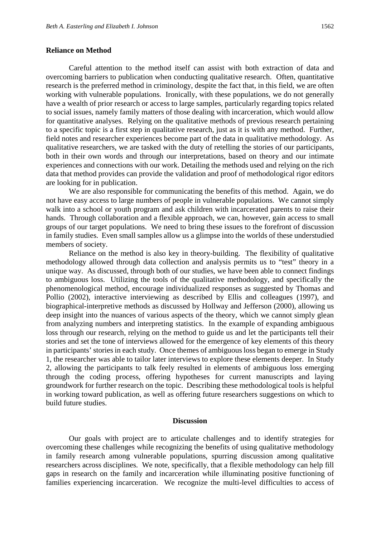Careful attention to the method itself can assist with both extraction of data and overcoming barriers to publication when conducting qualitative research. Often, quantitative research is the preferred method in criminology, despite the fact that, in this field, we are often working with vulnerable populations. Ironically, with these populations, we do not generally have a wealth of prior research or access to large samples, particularly regarding topics related to social issues, namely family matters of those dealing with incarceration, which would allow for quantitative analyses. Relying on the qualitative methods of previous research pertaining to a specific topic is a first step in qualitative research, just as it is with any method. Further, field notes and researcher experiences become part of the data in qualitative methodology. As qualitative researchers, we are tasked with the duty of retelling the stories of our participants, both in their own words and through our interpretations, based on theory and our intimate experiences and connections with our work. Detailing the methods used and relying on the rich data that method provides can provide the validation and proof of methodological rigor editors are looking for in publication.

We are also responsible for communicating the benefits of this method. Again, we do not have easy access to large numbers of people in vulnerable populations. We cannot simply walk into a school or youth program and ask children with incarcerated parents to raise their hands. Through collaboration and a flexible approach, we can, however, gain access to small groups of our target populations. We need to bring these issues to the forefront of discussion in family studies. Even small samples allow us a glimpse into the worlds of these understudied members of society.

Reliance on the method is also key in theory-building. The flexibility of qualitative methodology allowed through data collection and analysis permits us to "test" theory in a unique way. As discussed, through both of our studies, we have been able to connect findings to ambiguous loss. Utilizing the tools of the qualitative methodology, and specifically the phenomenological method, encourage individualized responses as suggested by Thomas and Pollio (2002), interactive interviewing as described by Ellis and colleagues (1997), and biographical-interpretive methods as discussed by Hollway and Jefferson (2000), allowing us deep insight into the nuances of various aspects of the theory, which we cannot simply glean from analyzing numbers and interpreting statistics. In the example of expanding ambiguous loss through our research, relying on the method to guide us and let the participants tell their stories and set the tone of interviews allowed for the emergence of key elements of this theory in participants' stories in each study. Once themes of ambiguous loss began to emerge in Study 1, the researcher was able to tailor later interviews to explore these elements deeper. In Study 2, allowing the participants to talk feely resulted in elements of ambiguous loss emerging through the coding process, offering hypotheses for current manuscripts and laying groundwork for further research on the topic. Describing these methodological tools is helpful in working toward publication, as well as offering future researchers suggestions on which to build future studies.

#### **Discussion**

Our goals with project are to articulate challenges and to identify strategies for overcoming these challenges while recognizing the benefits of using qualitative methodology in family research among vulnerable populations, spurring discussion among qualitative researchers across disciplines. We note, specifically, that a flexible methodology can help fill gaps in research on the family and incarceration while illuminating positive functioning of families experiencing incarceration. We recognize the multi-level difficulties to access of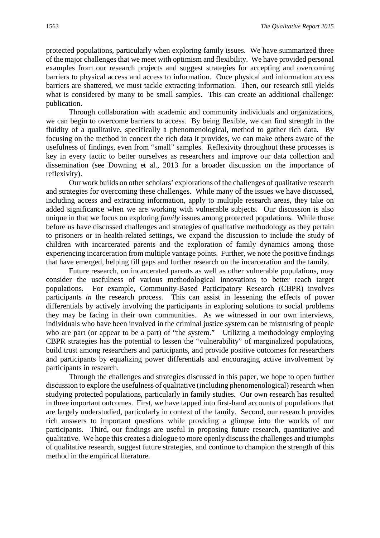protected populations, particularly when exploring family issues. We have summarized three of the major challenges that we meet with optimism and flexibility. We have provided personal examples from our research projects and suggest strategies for accepting and overcoming barriers to physical access and access to information. Once physical and information access barriers are shattered, we must tackle extracting information. Then, our research still yields what is considered by many to be small samples. This can create an additional challenge: publication.

Through collaboration with academic and community individuals and organizations, we can begin to overcome barriers to access. By being flexible, we can find strength in the fluidity of a qualitative, specifically a phenomenological, method to gather rich data. By focusing on the method in concert the rich data it provides, we can make others aware of the usefulness of findings, even from "small" samples. Reflexivity throughout these processes is key in every tactic to better ourselves as researchers and improve our data collection and dissemination (see Downing et al., 2013 for a broader discussion on the importance of reflexivity).

Our work builds on other scholars' explorations of the challenges of qualitative research and strategies for overcoming these challenges. While many of the issues we have discussed, including access and extracting information, apply to multiple research areas, they take on added significance when we are working with vulnerable subjects. Our discussion is also unique in that we focus on exploring *family* issues among protected populations. While those before us have discussed challenges and strategies of qualitative methodology as they pertain to prisoners or in health-related settings, we expand the discussion to include the study of children with incarcerated parents and the exploration of family dynamics among those experiencing incarceration from multiple vantage points. Further, we note the positive findings that have emerged, helping fill gaps and further research on the incarceration and the family.

Future research, on incarcerated parents as well as other vulnerable populations, may consider the usefulness of various methodological innovations to better reach target populations. For example, Community-Based Participatory Research (CBPR) involves participants *in* the research process. This can assist in lessening the effects of power differentials by actively involving the participants in exploring solutions to social problems they may be facing in their own communities. As we witnessed in our own interviews, individuals who have been involved in the criminal justice system can be mistrusting of people who are part (or appear to be a part) of "the system." Utilizing a methodology employing CBPR strategies has the potential to lessen the "vulnerability" of marginalized populations, build trust among researchers and participants, and provide positive outcomes for researchers and participants by equalizing power differentials and encouraging active involvement by participants in research.

Through the challenges and strategies discussed in this paper, we hope to open further discussion to explore the usefulness of qualitative (including phenomenological) research when studying protected populations, particularly in family studies. Our own research has resulted in three important outcomes. First, we have tapped into first-hand accounts of populations that are largely understudied, particularly in context of the family. Second, our research provides rich answers to important questions while providing a glimpse into the worlds of our participants. Third, our findings are useful in proposing future research, quantitative and qualitative. We hope this creates a dialogue to more openly discuss the challenges and triumphs of qualitative research, suggest future strategies, and continue to champion the strength of this method in the empirical literature.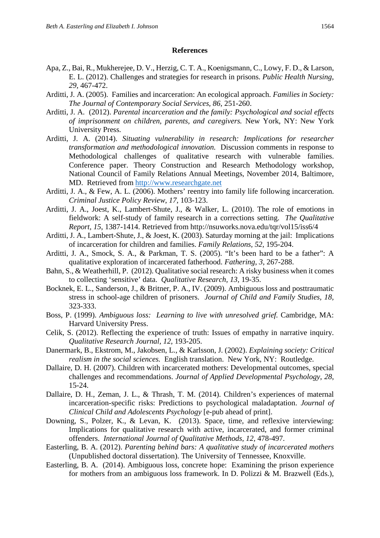#### **References**

- Apa, Z., Bai, R., Mukherejee, D. V., Herzig, C. T. A., Koenigsmann, C., Lowy, F. D., & Larson, E. L. (2012). Challenges and strategies for research in prisons. *Public Health Nursing*, *29*, 467-472.
- Arditti, J. A. (2005). Families and incarceration: An ecological approach. *Families in Society: The Journal of Contemporary Social Services, 86*, 251-260.
- Arditti, J. A. (2012). *Parental incarceration and the family: Psychological and social effects of imprisonment on children, parents, and caregivers.* New York, NY: New York University Press.
- Arditti, J. A. (2014). *Situating vulnerability in research: Implications for researcher transformation and methodological innovation.* Discussion comments in response to Methodological challenges of qualitative research with vulnerable families. Conference paper. Theory Construction and Research Methodology workshop, National Council of Family Relations Annual Meetings, November 2014, Baltimore, MD. Retrieved from [http://www.researchgate.net](http://www.researchgate.net/)
- Arditti, J. A., & Few, A. L. (2006). Mothers' reentry into family life following incarceration. *Criminal Justice Policy Review*, *17*, 103-123.
- Arditti, J. A., Joest, K., Lambert-Shute, J., & Walker, L. (2010). The role of emotions in fieldwork: A self-study of family research in a corrections setting. *The Qualitative Report, 15*, 1387-1414. Retrieved from http://nsuworks.nova.edu/tqr/vol15/iss6/4
- Arditti, J. A., Lambert-Shute, J., & Joest, K. (2003). Saturday morning at the jail: Implications of incarceration for children and families. *Family Relations, 52*, 195-204.
- Arditti, J. A., Smock, S. A., & Parkman, T. S. (2005). "It's been hard to be a father": A qualitative exploration of incarcerated fatherhood. *Fathering*, *3*, 267-288.
- Bahn, S., & Weatherhill, P. (2012). Qualitative social research: A risky business when it comes to collecting 'sensitive' data. *Qualitative Research, 13,* 19-35.
- Bocknek, E. L., Sanderson, J., & Britner, P. A., IV. (2009). Ambiguous loss and posttraumatic stress in school-age children of prisoners. *Journal of Child and Family Studies, 18,*  323-333.
- Boss, P. (1999). *Ambiguous loss: Learning to live with unresolved grief.* Cambridge, MA: Harvard University Press.
- Celik, S. (2012). Reflecting the experience of truth: Issues of empathy in narrative inquiry. *Qualitative Research Journal, 12,* 193-205.
- Danermark, B., Ekstrom, M., Jakobsen, L., & Karlsson, J. (2002). *Explaining society: Critical realism in the social sciences.* English translation. New York, NY: Routledge.
- Dallaire, D. H. (2007). Children with incarcerated mothers: Developmental outcomes, special challenges and recommendations. *Journal of Applied Developmental Psychology*, *28*, 15-24.
- Dallaire, D. H., Zeman, J. L., & Thrash, T. M. (2014). Children's experiences of maternal incarceration-specific risks: Predictions to psychological maladaptation. *Journal of Clinical Child and Adolescents Psychology* [e-pub ahead of print].
- Downing, S., Polzer, K., & Levan, K. (2013). Space, time, and reflexive interviewing: Implications for qualitative research with active, incarcerated, and former criminal offenders. *International Journal of Qualitative Methods, 12,* 478-497.
- Easterling, B. A. (2012). *Parenting behind bars: A qualitative study of incarcerated mothers* (Unpublished doctoral dissertation). The University of Tennessee, Knoxville.
- Easterling, B. A. (2014). Ambiguous loss, concrete hope: Examining the prison experience for mothers from an ambiguous loss framework. In D. Polizzi & M. Brazwell (Eds.),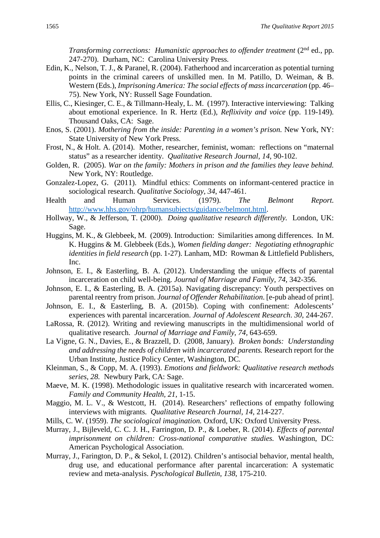*Transforming corrections: Humanistic approaches to offender treatment* (2<sup>nd</sup> ed., pp. 247-270).Durham, NC: Carolina University Press.

- Edin, K., Nelson, T. J., & Paranel, R. (2004). Fatherhood and incarceration as potential turning points in the criminal careers of unskilled men. In M. Patillo, D. Weiman, & B. Western (Eds.), *Imprisoning America: The social effects of massincarceration* (pp. 46– 75). New York, NY: Russell Sage Foundation.
- Ellis, C., Kiesinger, C. E., & Tillmann-Healy, L. M. (1997). Interactive interviewing: Talking about emotional experience. In R. Hertz (Ed.), *Reflixivity and voice* (pp. 119-149)*.*  Thousand Oaks, CA: Sage.
- Enos, S. (2001). *Mothering from the inside: Parenting in a women's prison.* New York, NY: State University of New York Press.
- Frost, N., & Holt. A. (2014). Mother, researcher, feminist, woman: reflections on "maternal status" as a researcher identity. *Qualitative Research Journal, 14,* 90-102.
- Golden, R. (2005). *War on the family: Mothers in prison and the families they leave behind.*  New York, NY: Routledge.
- Gonzalez-Lopez, G. (2011). Mindful ethics: Comments on informant-centered practice in sociological research. *Qualitative Sociology, 34*, 447-461.
- Health and Human Services. (1979). *The Belmont Report.* [http://www.hhs.gov/ohrp/humansubjects/guidance/belmont.html.](http://www.hhs.gov/ohrp/humansubjects/guidance/belmont.html)
- Hollway, W., & Jefferson, T. (2000). *Doing qualitative research differently.* London, UK: Sage.
- Huggins, M. K., & Glebbeek, M. (2009). Introduction: Similarities among differences. In M. K. Huggins & M. Glebbeek (Eds.), *Women fielding danger: Negotiating ethnographic identities in field research* (pp. 1-27). Lanham, MD: Rowman & Littlefield Publishers, Inc.
- Johnson, E. I., & Easterling, B. A. (2012). Understanding the unique effects of parental incarceration on child well-being. *Journal of Marriage and Family, 74*, 342-356.
- Johnson, E. I., & Easterling, B. A. (2015a). Navigating discrepancy: Youth perspectives on parental reentry from prison. *Journal of Offender Rehabilitation*. [e-pub ahead of print].
- Johnson, E. I., & Easterling, B. A. (2015b). Coping with confinement: Adolescents' experiences with parental incarceration. *Journal of Adolescent Research*. *30*, 244-267.
- LaRossa, R. (2012). Writing and reviewing manuscripts in the multidimensional world of qualitative research. *Journal of Marriage and Family, 74,* 643-659.
- La Vigne, G. N., Davies, E., & Brazzell, D. (2008, January). *Broken bonds: Understanding and addressing the needs of children with incarcerated parents.* Research report for the Urban Institute, Justice Policy Center, Washington, DC.
- Kleinman, S., & Copp, M. A. (1993). *Emotions and fieldwork: Qualitative research methods series, 28.* Newbury Park, CA: Sage.
- Maeve, M. K. (1998). Methodologic issues in qualitative research with incarcerated women. *Family and Community Health, 21*, 1-15.
- Maggio, M. L. V., & Westcott, H. (2014). Researchers' reflections of empathy following interviews with migrants. *Qualitative Research Journal, 14,* 214-227.
- Mills, C. W. (1959). *The sociological imagination.* Oxford, UK: Oxford University Press.
- Murray, J., Bijleveld, C. C. J. H., Farrington, D. P., & Loeber, R. (2014). *Effects of parental imprisonment on children: Cross-national comparative studies.* Washington, DC: American Psychological Association.
- Murray, J., Farington, D. P., & Sekol, I. (2012). Children's antisocial behavior, mental health, drug use, and educational performance after parental incarceration: A systematic review and meta-analysis. *Pyschological Bulletin, 138*, 175-210.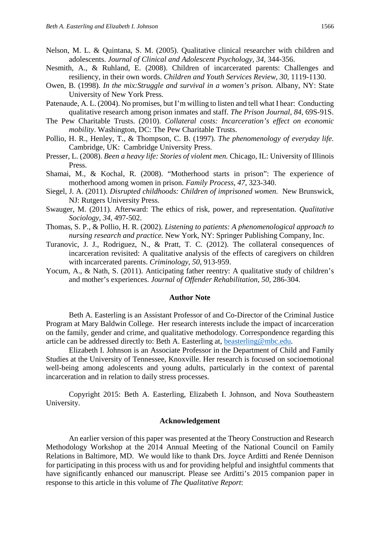- Nelson, M. L. & Quintana, S. M. (2005). Qualitative clinical researcher with children and adolescents. *Journal of Clinical and Adolescent Psychology, 34*, 344-356.
- Nesmith, A., & Ruhland, E. (2008). Children of incarcerated parents: Challenges and resiliency, in their own words. *Children and Youth Services Review*, *30*, 1119-1130.
- Owen, B. (1998). *In the mix:Struggle and survival in a women's prison.* Albany, NY: State University of New York Press.
- Patenaude, A. L. (2004). No promises, but I'm willing to listen and tell what I hear: Conducting qualitative research among prison inmates and staff. *The Prison Journal, 84,* 69S-91S.
- The Pew Charitable Trusts. (2010). *Collateral costs: Incarceration's effect on economic mobility*. Washington, DC: The Pew Charitable Trusts.
- Pollio, H. R., Henley, T., & Thompson, C. B. (1997). *The phenomenology of everyday life.*  Cambridge, UK: Cambridge University Press.
- Presser, L. (2008). *Been a heavy life: Stories of violent men.* Chicago, IL: University of Illinois Press.
- Shamai, M., & Kochal, R. (2008). "Motherhood starts in prison": The experience of motherhood among women in prison. *Family Process*, *47*, 323-340.
- Siegel, J. A. (2011). *Disrupted childhoods: Children of imprisoned women.* New Brunswick, NJ: Rutgers University Press.
- Swauger, M. (2011). Afterward: The ethics of risk, power, and representation. *Qualitative Sociology, 34,* 497-502.
- Thomas, S. P., & Pollio, H. R. (2002). *Listening to patients: A phenomenological approach to nursing research and practice.* New York, NY: Springer Publishing Company, Inc.
- Turanovic, J. J., Rodriguez, N., & Pratt, T. C. (2012). The collateral consequences of incarceration revisited: A qualitative analysis of the effects of caregivers on children with incarcerated parents. *Criminology*, *50*, 913-959.
- Yocum, A., & Nath, S. (2011). Anticipating father reentry: A qualitative study of children's and mother's experiences. *Journal of Offender Rehabilitation*, *50*, 286-304.

#### **Author Note**

Beth A. Easterling is an Assistant Professor of and Co-Director of the Criminal Justice Program at Mary Baldwin College. Her research interests include the impact of incarceration on the family, gender and crime, and qualitative methodology. Correspondence regarding this article can be addressed directly to: Beth A. Easterling at, [beasterling@mbc.edu.](mailto:beasterling@mbc.edu)

Elizabeth I. Johnson is an Associate Professor in the Department of Child and Family Studies at the University of Tennessee, Knoxville. Her research is focused on socioemotional well-being among adolescents and young adults, particularly in the context of parental incarceration and in relation to daily stress processes.

Copyright 2015: Beth A. Easterling, Elizabeth I. Johnson, and Nova Southeastern University.

#### **Acknowledgement**

An earlier version of this paper was presented at the Theory Construction and Research Methodology Workshop at the 2014 Annual Meeting of the National Council on Family Relations in Baltimore, MD. We would like to thank Drs. Joyce Arditti and Renée Dennison for participating in this process with us and for providing helpful and insightful comments that have significantly enhanced our manuscript. Please see Arditti's 2015 companion paper in response to this article in this volume of *The Qualitative Report*: